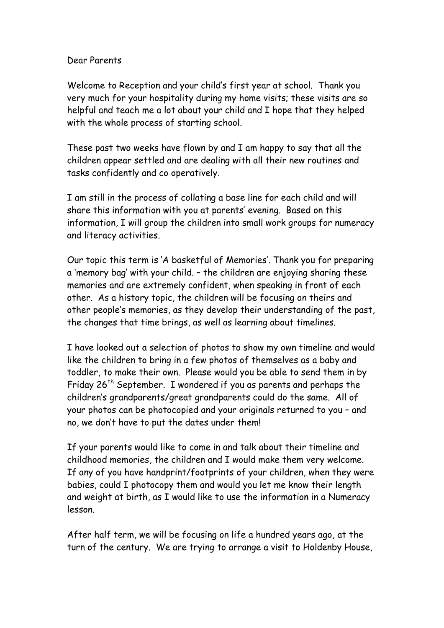## Dear Parents

Welcome to Reception and your child's first year at school. Thank you very much for your hospitality during my home visits; these visits are so helpful and teach me a lot about your child and I hope that they helped with the whole process of starting school.

These past two weeks have flown by and I am happy to say that all the children appear settled and are dealing with all their new routines and tasks confidently and co operatively.

I am still in the process of collating a base line for each child and will share this information with you at parents' evening. Based on this information, I will group the children into small work groups for numeracy and literacy activities.

Our topic this term is 'A basketful of Memories'. Thank you for preparing a 'memory bag' with your child. – the children are enjoying sharing these memories and are extremely confident, when speaking in front of each other. As a history topic, the children will be focusing on theirs and other people's memories, as they develop their understanding of the past, the changes that time brings, as well as learning about timelines.

I have looked out a selection of photos to show my own timeline and would like the children to bring in a few photos of themselves as a baby and toddler, to make their own. Please would you be able to send them in by Friday 26<sup>th</sup> September. I wondered if you as parents and perhaps the children's grandparents/great grandparents could do the same. All of your photos can be photocopied and your originals returned to you – and no, we don't have to put the dates under them!

If your parents would like to come in and talk about their timeline and childhood memories, the children and I would make them very welcome. If any of you have handprint/footprints of your children, when they were babies, could I photocopy them and would you let me know their length and weight at birth, as I would like to use the information in a Numeracy lesson.

After half term, we will be focusing on life a hundred years ago, at the turn of the century. We are trying to arrange a visit to Holdenby House,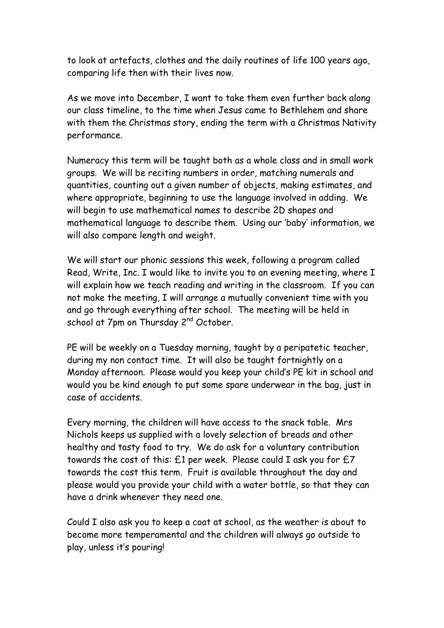to look at artefacts, clothes and the daily routines of life 100 years ago, comparing life then with their lives now.

As we move into December, I want to take them even further back along our class timeline, to the time when Jesus came to Bethlehem and share with them the Christmas story, ending the term with a Christmas Nativity performance.

Numeracy this term will be taught both as a whole class and in small work groups. We will be reciting numbers in order, matching numerals and quantities, counting out a given number of objects, making estimates, and where appropriate, beginning to use the language involved in adding. We will begin to use mathematical names to describe 2D shapes and mathematical language to describe them. Using our 'baby' information, we will also compare length and weight.

We will start our phonic sessions this week, following a program called Read, Write, Inc. I would like to invite you to an evening meeting, where I will explain how we teach reading and writing in the classroom. If you can not make the meeting, I will arrange a mutually convenient time with you and go through everything after school. The meeting will be held in school at 7pm on Thursday 2<sup>nd</sup> October.

PE will be weekly on a Tuesday morning, taught by a peripatetic teacher, during my non contact time. It will also be taught fortnightly on a Monday afternoon. Please would you keep your child's PE kit in school and would you be kind enough to put some spare underwear in the bag, just in case of accidents.

Every morning, the children will have access to the snack table. Mrs Nichols keeps us supplied with a lovely selection of breads and other healthy and tasty food to try. We do ask for a voluntary contribution towards the cost of this: £1 per week. Please could I ask you for £7 towards the cost this term. Fruit is available throughout the day and please would you provide your child with a water bottle, so that they can have a drink whenever they need one.

Could I also ask you to keep a coat at school, as the weather is about to become more temperamental and the children will always go outside to play, unless it's pouring!